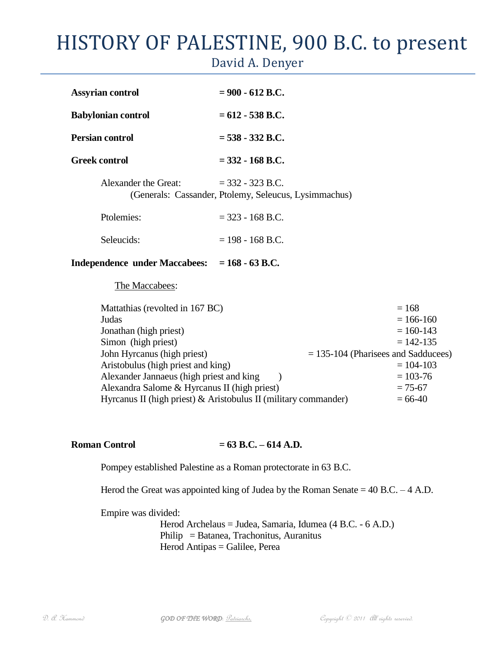## HISTORY OF PALESTINE, 900 B.C. to present

David A. Denyer

| Independence under Maccabees: $= 168 - 63$ B.C. |                                                                             |
|-------------------------------------------------|-----------------------------------------------------------------------------|
| Seleucids:                                      | $= 198 - 168$ B.C.                                                          |
| Ptolemies:                                      | $=$ 323 - 168 B.C.                                                          |
| Alexander the Great:                            | $=$ 332 - 323 B.C.<br>(Generals: Cassander, Ptolemy, Seleucus, Lysimmachus) |
| <b>Greek control</b>                            | $=$ 332 - 168 B.C.                                                          |
| <b>Persian control</b>                          | $= 538 - 332$ R.C.                                                          |
| <b>Babylonian control</b>                       | $= 612 - 538$ B.C.                                                          |
| <b>Assyrian control</b>                         | $= 900 - 612$ B.C.                                                          |

The Maccabees:

| $= 168$                                                                      |
|------------------------------------------------------------------------------|
| $= 166 - 160$                                                                |
| $= 160 - 143$                                                                |
| $= 142 - 135$                                                                |
| $=$ 135-104 (Pharisees and Sadducees)                                        |
| $= 104 - 103$                                                                |
| $= 103 - 76$                                                                 |
| $= 75 - 67$                                                                  |
| Hyrcanus II (high priest) & Aristobulus II (military commander)<br>$= 66-40$ |
|                                                                              |

## **Roman Control = 63 B.C. – 614 A.D.**

Pompey established Palestine as a Roman protectorate in 63 B.C.

Herod the Great was appointed king of Judea by the Roman Senate  $= 40$  B.C.  $- 4$  A.D.

Empire was divided:

Herod Archelaus = Judea, Samaria, Idumea (4 B.C. - 6 A.D.) Philip = Batanea, Trachonitus, Auranitus Herod Antipas = Galilee, Perea